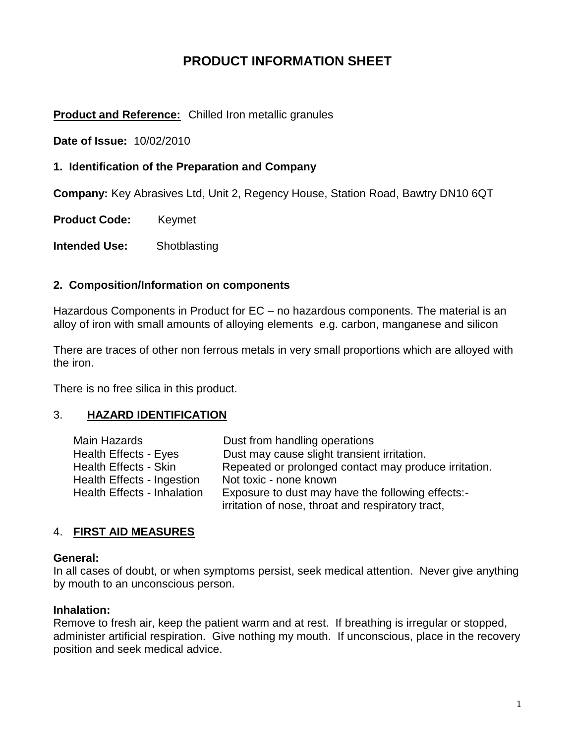# **PRODUCT INFORMATION SHEET**

#### **Product and Reference:** Chilled Iron metallic granules

**Date of Issue:** 10/02/2010

#### **1. Identification of the Preparation and Company**

**Company:** Key Abrasives Ltd, Unit 2, Regency House, Station Road, Bawtry DN10 6QT

**Product Code:** Keymet

**Intended Use:** Shotblasting

#### **2. Composition/Information on components**

Hazardous Components in Product for EC – no hazardous components. The material is an alloy of iron with small amounts of alloying elements e.g. carbon, manganese and silicon

There are traces of other non ferrous metals in very small proportions which are alloyed with the iron.

There is no free silica in this product.

#### 3. **HAZARD IDENTIFICATION**

| Main Hazards                       | Dust from handling operations                                                                          |
|------------------------------------|--------------------------------------------------------------------------------------------------------|
| Health Effects - Eyes              | Dust may cause slight transient irritation.                                                            |
| <b>Health Effects - Skin</b>       | Repeated or prolonged contact may produce irritation.                                                  |
| Health Effects - Ingestion         | Not toxic - none known                                                                                 |
| <b>Health Effects - Inhalation</b> | Exposure to dust may have the following effects:-<br>irritation of nose, throat and respiratory tract, |
|                                    |                                                                                                        |

#### 4. **FIRST AID MEASURES**

#### **General:**

In all cases of doubt, or when symptoms persist, seek medical attention. Never give anything by mouth to an unconscious person.

#### **Inhalation:**

Remove to fresh air, keep the patient warm and at rest. If breathing is irregular or stopped, administer artificial respiration. Give nothing my mouth. If unconscious, place in the recovery position and seek medical advice.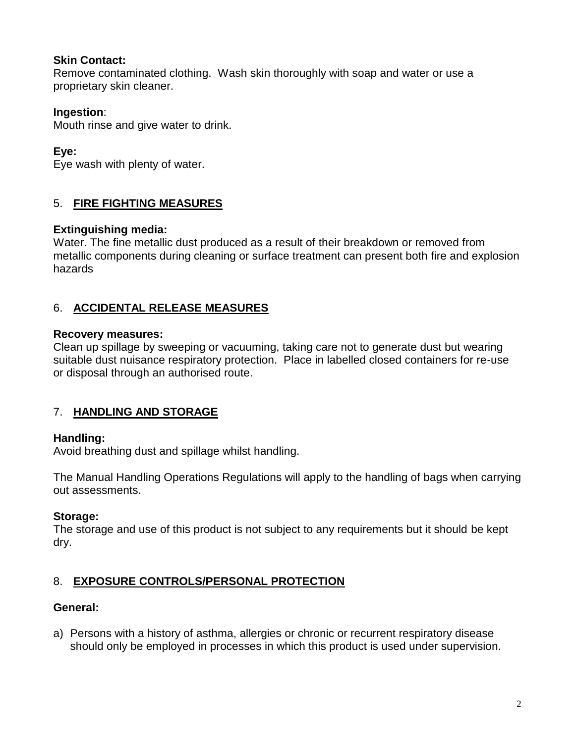# **Skin Contact:**

Remove contaminated clothing. Wash skin thoroughly with soap and water or use a proprietary skin cleaner.

# **Ingestion**:

Mouth rinse and give water to drink.

# **Eye:**

Eye wash with plenty of water.

# 5. **FIRE FIGHTING MEASURES**

### **Extinguishing media:**

Water. The fine metallic dust produced as a result of their breakdown or removed from metallic components during cleaning or surface treatment can present both fire and explosion hazards

# 6. **ACCIDENTAL RELEASE MEASURES**

### **Recovery measures:**

Clean up spillage by sweeping or vacuuming, taking care not to generate dust but wearing suitable dust nuisance respiratory protection. Place in labelled closed containers for re-use or disposal through an authorised route.

# 7. **HANDLING AND STORAGE**

# **Handling:**

Avoid breathing dust and spillage whilst handling.

The Manual Handling Operations Regulations will apply to the handling of bags when carrying out assessments.

# **Storage:**

The storage and use of this product is not subject to any requirements but it should be kept dry.

# 8. **EXPOSURE CONTROLS/PERSONAL PROTECTION**

# **General:**

a) Persons with a history of asthma, allergies or chronic or recurrent respiratory disease should only be employed in processes in which this product is used under supervision.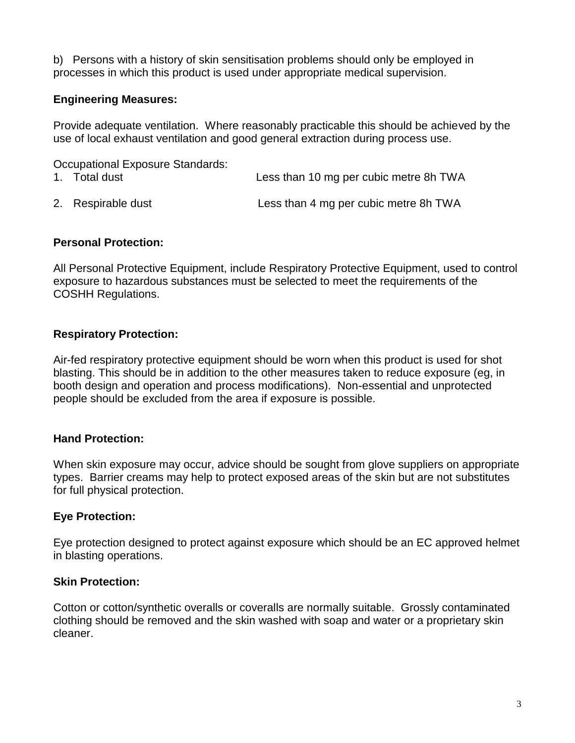b) Persons with a history of skin sensitisation problems should only be employed in processes in which this product is used under appropriate medical supervision.

### **Engineering Measures:**

Provide adequate ventilation. Where reasonably practicable this should be achieved by the use of local exhaust ventilation and good general extraction during process use.

| Occupational Exposure Standards: |                                        |  |
|----------------------------------|----------------------------------------|--|
| 1. Total dust                    | Less than 10 mg per cubic metre 8h TWA |  |
| 2. Respirable dust               | Less than 4 mg per cubic metre 8h TWA  |  |

### **Personal Protection:**

All Personal Protective Equipment, include Respiratory Protective Equipment, used to control exposure to hazardous substances must be selected to meet the requirements of the COSHH Regulations.

### **Respiratory Protection:**

Air-fed respiratory protective equipment should be worn when this product is used for shot blasting. This should be in addition to the other measures taken to reduce exposure (eg, in booth design and operation and process modifications). Non-essential and unprotected people should be excluded from the area if exposure is possible.

# **Hand Protection:**

When skin exposure may occur, advice should be sought from glove suppliers on appropriate types. Barrier creams may help to protect exposed areas of the skin but are not substitutes for full physical protection.

# **Eye Protection:**

Eye protection designed to protect against exposure which should be an EC approved helmet in blasting operations.

#### **Skin Protection:**

Cotton or cotton/synthetic overalls or coveralls are normally suitable. Grossly contaminated clothing should be removed and the skin washed with soap and water or a proprietary skin cleaner.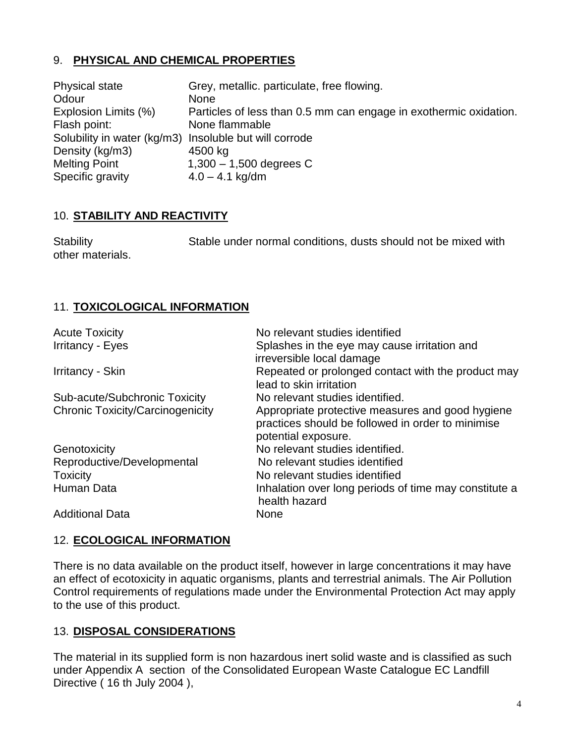# 9. **PHYSICAL AND CHEMICAL PROPERTIES**

| <b>Physical state</b>                                  | Grey, metallic. particulate, free flowing.                        |
|--------------------------------------------------------|-------------------------------------------------------------------|
| Odour                                                  | <b>None</b>                                                       |
| Explosion Limits (%)                                   | Particles of less than 0.5 mm can engage in exothermic oxidation. |
| Flash point:                                           | None flammable                                                    |
| Solubility in water (kg/m3) Insoluble but will corrode |                                                                   |
| Density (kg/m3)                                        | 4500 kg                                                           |
| <b>Melting Point</b>                                   | $1,300 - 1,500$ degrees C                                         |
| Specific gravity                                       | $4.0 - 4.1$ kg/dm                                                 |

#### 10. **STABILITY AND REACTIVITY**

Stability Stable under normal conditions, dusts should not be mixed with other materials.

### 11. **TOXICOLOGICAL INFORMATION**

| <b>Acute Toxicity</b>                   | No relevant studies identified                                                                                               |
|-----------------------------------------|------------------------------------------------------------------------------------------------------------------------------|
| <b>Irritancy - Eyes</b>                 | Splashes in the eye may cause irritation and<br>irreversible local damage                                                    |
| Irritancy - Skin                        | Repeated or prolonged contact with the product may<br>lead to skin irritation                                                |
| Sub-acute/Subchronic Toxicity           | No relevant studies identified.                                                                                              |
| <b>Chronic Toxicity/Carcinogenicity</b> | Appropriate protective measures and good hygiene<br>practices should be followed in order to minimise<br>potential exposure. |
| Genotoxicity                            | No relevant studies identified.                                                                                              |
| Reproductive/Developmental              | No relevant studies identified                                                                                               |
| <b>Toxicity</b>                         | No relevant studies identified                                                                                               |
| Human Data                              | Inhalation over long periods of time may constitute a<br>health hazard                                                       |
| <b>Additional Data</b>                  | <b>None</b>                                                                                                                  |

#### 12. **ECOLOGICAL INFORMATION**

There is no data available on the product itself, however in large concentrations it may have an effect of ecotoxicity in aquatic organisms, plants and terrestrial animals. The Air Pollution Control requirements of regulations made under the Environmental Protection Act may apply to the use of this product.

#### 13. **DISPOSAL CONSIDERATIONS**

The material in its supplied form is non hazardous inert solid waste and is classified as such under Appendix A section of the Consolidated European Waste Catalogue EC Landfill Directive (16 th July 2004),